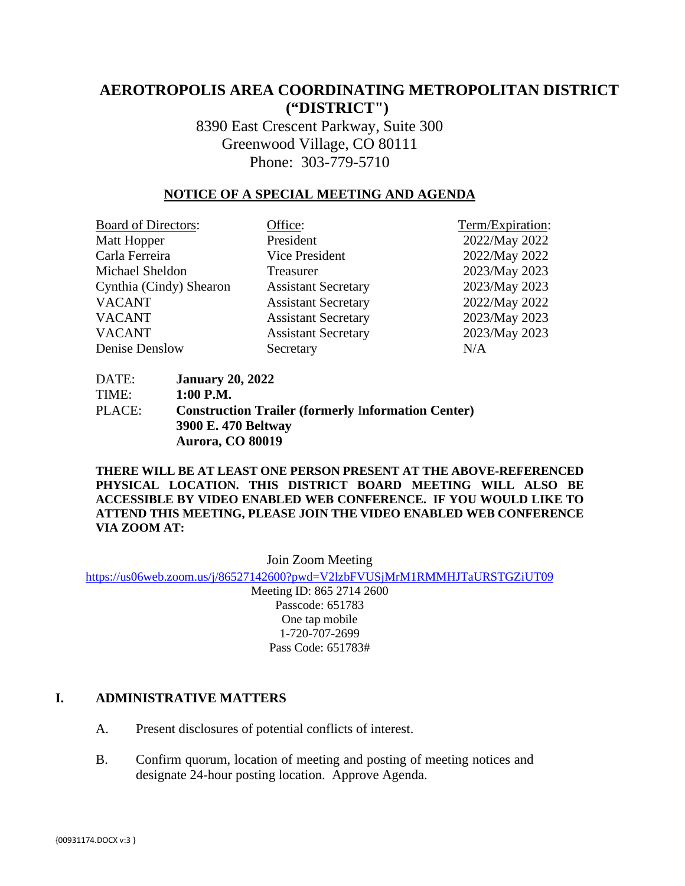# **AEROTROPOLIS AREA COORDINATING METROPOLITAN DISTRICT ("DISTRICT")**

8390 East Crescent Parkway, Suite 300 Greenwood Village, CO 80111 Phone: 303-779-5710

## **NOTICE OF A SPECIAL MEETING AND AGENDA**

| <b>Board of Directors:</b> | Office:                    | Term/Expiration: |
|----------------------------|----------------------------|------------------|
| Matt Hopper                | President                  | 2022/May 2022    |
| Carla Ferreira             | Vice President             | 2022/May 2022    |
| Michael Sheldon            | Treasurer                  | 2023/May 2023    |
| Cynthia (Cindy) Shearon    | <b>Assistant Secretary</b> | 2023/May 2023    |
| <b>VACANT</b>              | <b>Assistant Secretary</b> | 2022/May 2022    |
| <b>VACANT</b>              | <b>Assistant Secretary</b> | 2023/May 2023    |
| <b>VACANT</b>              | <b>Assistant Secretary</b> | 2023/May 2023    |
| Denise Denslow             | Secretary                  | N/A              |

DATE: **January 20, 2022** TIME: **1:00 P.M.** PLACE: **Construction Trailer (formerly** I**nformation Center) 3900 E. 470 Beltway Aurora, CO 80019** 

**THERE WILL BE AT LEAST ONE PERSON PRESENT AT THE ABOVE-REFERENCED PHYSICAL LOCATION. THIS DISTRICT BOARD MEETING WILL ALSO BE ACCESSIBLE BY VIDEO ENABLED WEB CONFERENCE. IF YOU WOULD LIKE TO ATTEND THIS MEETING, PLEASE JOIN THE VIDEO ENABLED WEB CONFERENCE VIA ZOOM AT:**

Join Zoom Meeting

<https://us06web.zoom.us/j/86527142600?pwd=V2lzbFVUSjMrM1RMMHJTaURSTGZiUT09>

Meeting ID: 865 2714 2600 Passcode: 651783 One tap mobile 1-720-707-2699 Pass Code: 651783#

## **I. ADMINISTRATIVE MATTERS**

- A. Present disclosures of potential conflicts of interest.
- B. Confirm quorum, location of meeting and posting of meeting notices and designate 24-hour posting location. Approve Agenda.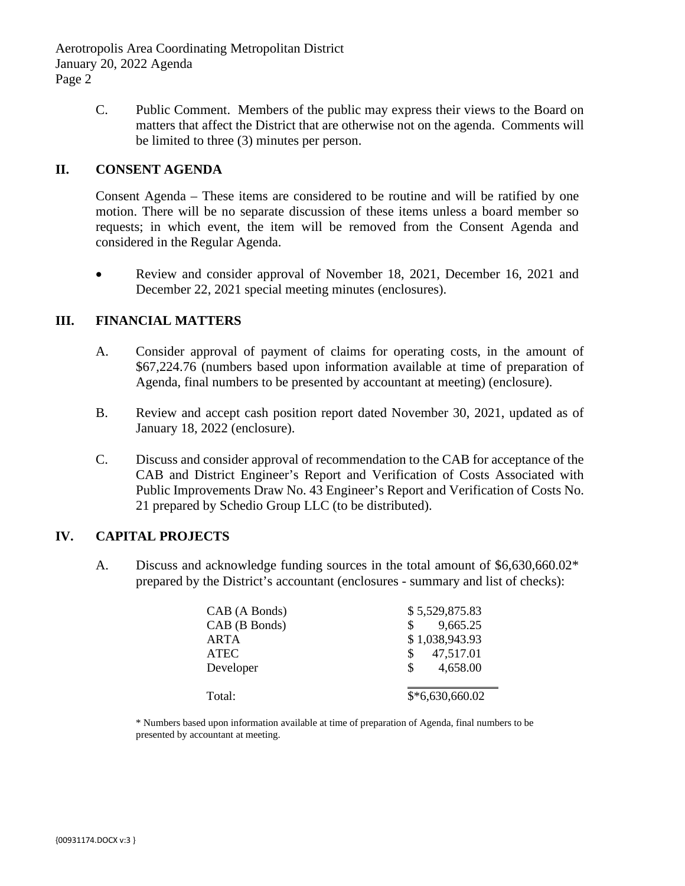Aerotropolis Area Coordinating Metropolitan District January 20, 2022 Agenda Page 2

> C. Public Comment. Members of the public may express their views to the Board on matters that affect the District that are otherwise not on the agenda. Comments will be limited to three (3) minutes per person.

## **II. CONSENT AGENDA**

Consent Agenda – These items are considered to be routine and will be ratified by one motion. There will be no separate discussion of these items unless a board member so requests; in which event, the item will be removed from the Consent Agenda and considered in the Regular Agenda.

• Review and consider approval of November 18, 2021, December 16, 2021 and December 22, 2021 special meeting minutes (enclosures).

## **III. FINANCIAL MATTERS**

- A. Consider approval of payment of claims for operating costs, in the amount of \$67,224.76 (numbers based upon information available at time of preparation of Agenda, final numbers to be presented by accountant at meeting) (enclosure).
- B. Review and accept cash position report dated November 30, 2021, updated as of January 18, 2022 (enclosure).
- C. Discuss and consider approval of recommendation to the CAB for acceptance of the CAB and District Engineer's Report and Verification of Costs Associated with Public Improvements Draw No. 43 Engineer's Report and Verification of Costs No. 21 prepared by Schedio Group LLC (to be distributed).

#### **IV. CAPITAL PROJECTS**

A. Discuss and acknowledge funding sources in the total amount of \$6,630,660.02\* prepared by the District's accountant (enclosures - summary and list of checks):

| CAB (A Bonds) | \$5,529,875.83           |
|---------------|--------------------------|
| CAB (B Bonds) | 9,665.25<br>$\mathbf{s}$ |
| ARTA          | \$1,038,943.93           |
| <b>ATEC</b>   | 47,517.01<br>\$          |
| Developer     | 4,658.00<br>$\mathbb{S}$ |
|               |                          |
| Total:        | $$*6,630,660.02$         |

\* Numbers based upon information available at time of preparation of Agenda, final numbers to be presented by accountant at meeting.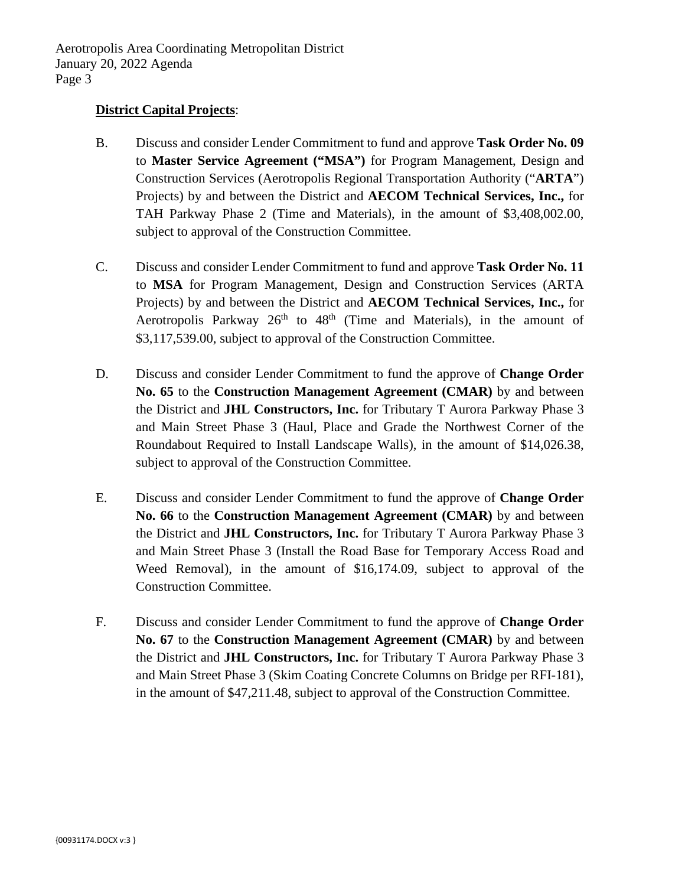#### **District Capital Projects**:

- B. Discuss and consider Lender Commitment to fund and approve **Task Order No. 09** to **Master Service Agreement ("MSA")** for Program Management, Design and Construction Services (Aerotropolis Regional Transportation Authority ("**ARTA**") Projects) by and between the District and **AECOM Technical Services, Inc.,** for TAH Parkway Phase 2 (Time and Materials), in the amount of \$3,408,002.00, subject to approval of the Construction Committee.
- C. Discuss and consider Lender Commitment to fund and approve **Task Order No. 11** to **MSA** for Program Management, Design and Construction Services (ARTA Projects) by and between the District and **AECOM Technical Services, Inc.,** for Aerotropolis Parkway  $26<sup>th</sup>$  to  $48<sup>th</sup>$  (Time and Materials), in the amount of \$3,117,539.00, subject to approval of the Construction Committee.
- D. Discuss and consider Lender Commitment to fund the approve of **Change Order No. 65** to the **Construction Management Agreement (CMAR)** by and between the District and **JHL Constructors, Inc.** for Tributary T Aurora Parkway Phase 3 and Main Street Phase 3 (Haul, Place and Grade the Northwest Corner of the Roundabout Required to Install Landscape Walls), in the amount of \$14,026.38, subject to approval of the Construction Committee.
- E. Discuss and consider Lender Commitment to fund the approve of **Change Order No. 66** to the **Construction Management Agreement (CMAR)** by and between the District and **JHL Constructors, Inc.** for Tributary T Aurora Parkway Phase 3 and Main Street Phase 3 (Install the Road Base for Temporary Access Road and Weed Removal), in the amount of \$16,174.09, subject to approval of the Construction Committee.
- F. Discuss and consider Lender Commitment to fund the approve of **Change Order No. 67** to the **Construction Management Agreement (CMAR)** by and between the District and **JHL Constructors, Inc.** for Tributary T Aurora Parkway Phase 3 and Main Street Phase 3 (Skim Coating Concrete Columns on Bridge per RFI-181), in the amount of \$47,211.48, subject to approval of the Construction Committee.